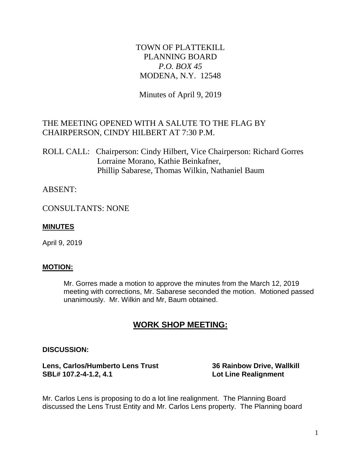# TOWN OF PLATTEKILL PLANNING BOARD *P.O. BOX 45* MODENA, N.Y. 12548

Minutes of April 9, 2019

# THE MEETING OPENED WITH A SALUTE TO THE FLAG BY CHAIRPERSON, CINDY HILBERT AT 7:30 P.M.

ROLL CALL: Chairperson: Cindy Hilbert, Vice Chairperson: Richard Gorres Lorraine Morano, Kathie Beinkafner, Phillip Sabarese, Thomas Wilkin, Nathaniel Baum

## ABSENT:

CONSULTANTS: NONE

### **MINUTES**

April 9, 2019

#### **MOTION:**

Mr. Gorres made a motion to approve the minutes from the March 12, 2019 meeting with corrections, Mr. Sabarese seconded the motion. Motioned passed unanimously. Mr. Wilkin and Mr, Baum obtained.

# **WORK SHOP MEETING:**

#### **DISCUSSION:**

**Lens, Carlos/Humberto Lens Trust 36 Rainbow Drive, Wallkill SBL# 107.2-4-1.2, 4.1 Lot Line Realignment**

Mr. Carlos Lens is proposing to do a lot line realignment. The Planning Board discussed the Lens Trust Entity and Mr. Carlos Lens property. The Planning board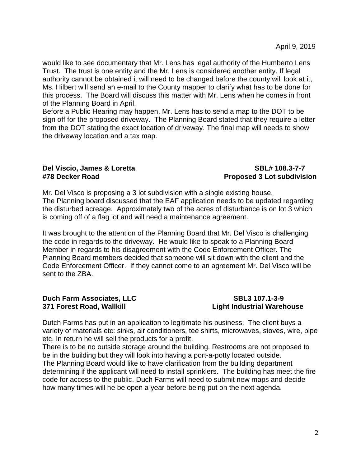would like to see documentary that Mr. Lens has legal authority of the Humberto Lens Trust. The trust is one entity and the Mr. Lens is considered another entity. If legal authority cannot be obtained it will need to be changed before the county will look at it, Ms. Hilbert will send an e-mail to the County mapper to clarify what has to be done for this process. The Board will discuss this matter with Mr. Lens when he comes in front of the Planning Board in April.

Before a Public Hearing may happen, Mr. Lens has to send a map to the DOT to be sign off for the proposed driveway. The Planning Board stated that they require a letter from the DOT stating the exact location of driveway. The final map will needs to show the driveway location and a tax map.

# **Del Viscio, James & Loretta SBL# 108.3-7-7**

# **#78 Decker Road Proposed 3 Lot subdivision**

Mr. Del Visco is proposing a 3 lot subdivision with a single existing house. The Planning board discussed that the EAF application needs to be updated regarding the disturbed acreage. Approximately two of the acres of disturbance is on lot 3 which is coming off of a flag lot and will need a maintenance agreement.

It was brought to the attention of the Planning Board that Mr. Del Visco is challenging the code in regards to the driveway. He would like to speak to a Planning Board Member in regards to his disagreement with the Code Enforcement Officer. The Planning Board members decided that someone will sit down with the client and the Code Enforcement Officer. If they cannot come to an agreement Mr. Del Visco will be sent to the ZBA.

#### **Duch Farm Associates, LLC** SBL3 107.1-3-9 **371 Forest Road, Wallkill Light Industrial Warehouse**

Dutch Farms has put in an application to legitimate his business. The client buys a variety of materials etc: sinks, air conditioners, tee shirts, microwaves, stoves, wire, pipe etc. In return he will sell the products for a profit.

There is to be no outside storage around the building. Restrooms are not proposed to be in the building but they will look into having a port-a-potty located outside. The Planning Board would like to have clarification from the building department determining if the applicant will need to install sprinklers. The building has meet the fire code for access to the public. Duch Farms will need to submit new maps and decide how many times will he be open a year before being put on the next agenda.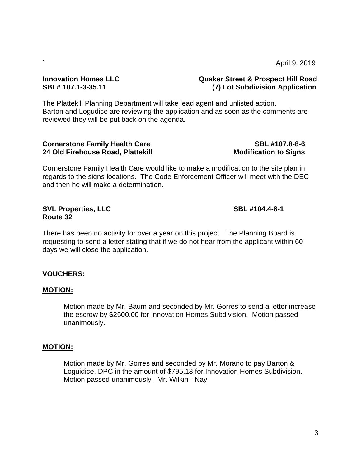3

 $\sim$  April 9, 2019

### **Innovation Homes LLC Quaker Street & Prospect Hill Road SBL# 107.1-3-35.11 (7) Lot Subdivision Application**

The Plattekill Planning Department will take lead agent and unlisted action. Barton and Logudice are reviewing the application and as soon as the comments are reviewed they will be put back on the agenda.

#### **Cornerstone Family Health Care SBL #107.8-8-6 24 Old Firehouse Road, Plattekill Modification to Signs**

Cornerstone Family Health Care would like to make a modification to the site plan in regards to the signs locations. The Code Enforcement Officer will meet with the DEC and then he will make a determination.

### **SVL Properties, LLC SBL #104.4-8-1 Route 32**

There has been no activity for over a year on this project. The Planning Board is requesting to send a letter stating that if we do not hear from the applicant within 60 days we will close the application.

## **VOUCHERS:**

### **MOTION:**

Motion made by Mr. Baum and seconded by Mr. Gorres to send a letter increase the escrow by \$2500.00 for Innovation Homes Subdivision. Motion passed unanimously.

#### **MOTION:**

Motion made by Mr. Gorres and seconded by Mr. Morano to pay Barton & Loguidice, DPC in the amount of \$795.13 for Innovation Homes Subdivision. Motion passed unanimously. Mr. Wilkin - Nay